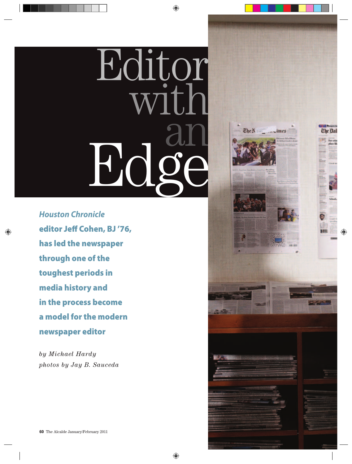Editor with an an Edge

*Houston Chronicle*  **editor Jeff Cohen, BJ '76, has led the newspaper through one of the toughest periods in media history and in the process become a model for the modern newspaper editor**

*by Michael Hardy photos by Jay B. Sauceda*

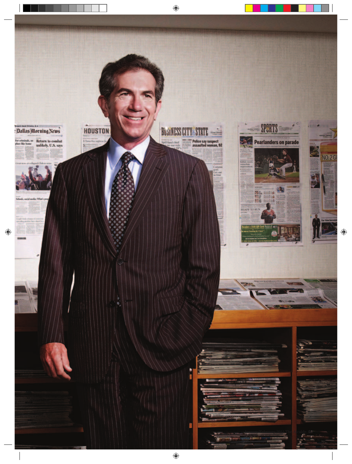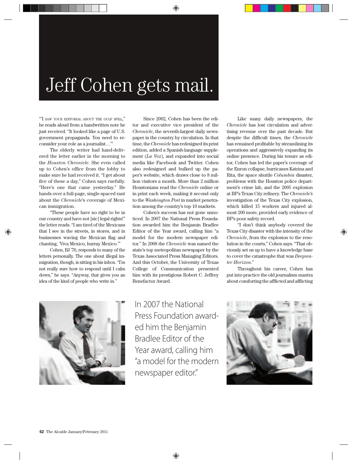# Jeff Cohen gets mail.

"I SAW YOUR EDITORIAL ABOUT THE GULF SPILL." he reads aloud from a handwritten note he just received. "It looked like a page of U.S. government propaganda. You need to reconsider your role as a journalist…'"

 The elderly writer had hand-delivered the letter earlier in the morning to the *Houston Chronicle*. She even called up to Cohen's office from the lobby to make sure he had received it. "I get about five of these a day," Cohen says ruefully. "Here's one that came yesterday." He hands over a full-page, single-spaced rant about the *Chronicle*'s coverage of Mexican immigration.

 "These people have no right to be in our country and have not [sic] legal rights!" the letter reads. "I am tired of the Mexicans that I see in the streets, in stores, and in businesses waving the Mexican flag and chanting, 'Viva Mexico, hurray Mexico.'"

Cohen, BJ '76, responds to many of the letters personally. The one about illegal immigration, though, is sitting in his inbox. "I'm not really sure how to respond until I calm down," he says. "Anyway, that gives you an idea of the kind of people who write in."

Since 2002, Cohen has been the editor and executive vice president of the *Chronicle*, the seventh-largest daily newspaper in the country by circulation. In that time, the *Chronicle* has redesigned its print edition, added a Spanish-language supplement (*La Voz*), and expanded into social media like Facebook and Twitter. Cohen also redesigned and bulked up the paper's website, which draws close to 8 million visitors a month. More than 2 million Houstonians read the *Chronicle* online or in print each week, making it second only to the *Washington Post* in market penetration among the country's top 10 markets.

Cohen's success has not gone unnoticed. In 2007 the National Press Foundation awarded him the Benjamin Bradlee Editor of the Year award, calling him "a model for the modern newspaper editor." In 2008 the *Chronicle* was named the state's top metropolitan newspaper by the Texas Associated Press Managing Editors. And this October, the University of Texas College of Communication presented him with its prestigious Robert C. Jeffrey Benefactor Award.

 Like many daily newspapers, the *Chronicle* has lost circulation and advertising revenue over the past decade. But despite the difficult times, the *Chronicle* has remained profitable by streamlining its operations and aggressively expanding its online presence. During his tenure as editor, Cohen has led the paper's coverage of the Enron collapse, hurricanes Katrina and Rita, the space shuttle *Columbia* disaster, problems with the Houston police department's crime lab, and the 2005 explosion at BP's Texas City refinery. The *Chronicle's* investigation of the Texas City explosion, which killed 15 workers and injured almost 200 more, provided early evidence of BP's poor safety record.

 "I don't think anybody covered the Texas City disaster with the intensity of the *Chronicle*, from the explosion to the resolution in the courts," Cohen says. "That obviously set us up to have a knowledge base to cover the catastrophe that was *Deepwater Horizon*."

 Throughout his career, Cohen has put into practice the old journalism mantra about comforting the afflicted and afflicting



In 2007 the National Press Foundation awarded him the Benjamin Bradlee Editor of the Year award, calling him "a model for the modern newspaper editor."

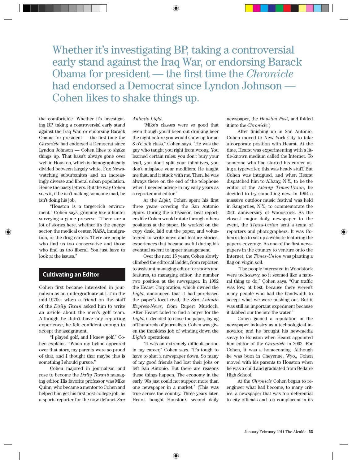Whether it's investigating BP, taking a controversial early stand against the Iraq War, or endorsing Barack Obama for president — the first time the *Chronicle* had endorsed a Democrat since Lyndon Johnson — Cohen likes to shake things up.

the comfortable. Whether it's investigating BP, taking a controversial early stand against the Iraq War, or endorsing Barack Obama for president  $-$  the first time the *Chronicle* had endorsed a Democrat since Lyndon Johnson — Cohen likes to shake things up. That hasn't always gone over well in Houston, which is demographically divided between largely white, Fox Newswatching suburbanites and an increasingly diverse and liberal urban population. Hence the nasty letters. But the way Cohen sees it, if he isn't making someone mad, he isn't doing his job.

 "Houston is a target-rich environment," Cohen says, grinning like a hunter surveying a game preserve. "There are a lot of stories here, whether it's the energy sector, the medical center, NASA, immigration, or the drug cartels. There are people who find us too conservative and those who find us too liberal. You just have to look at the issues."

## **Cultivating an Editor**

Cohen first became interested in journalism as an undergraduate at UT in the mid-1970s, when a friend on the staff of the *Daily Texan* asked him to write an article about the men's golf team. Although he didn't have any reporting experience, he felt confident enough to accept the assignment.

 "I played golf, and I knew golf," Cohen explains. "When my byline appeared over that story, my parents were so proud of that, and I thought that maybe this is something I should pursue."

 Cohen majored in journalism and rose to become the *Daily Texan's* managing editor. His favorite professor was Mike Quinn, who became a mentor to Cohen and helped him get his first post-college job, as a sports reporter for the now-defunct *San* 

#### *Antonio Light*.

 "Mike's classes were so good that even though you'd been out drinking beer the night before you would show up for an 8 o'clock class," Cohen says. "He was the guy who taught you right from wrong. You learned certain rules: you don't bury your lead, you don't split your infinitives, you don't misplace your modifiers. He taught me that, and it stuck with me. Then, he was always there on the end of the telephone when I needed advice in my early years as a reporter and editor."

At the *Light*, Cohen spent his first three years covering the San Antonio Spurs. During the off-season, beat reporters like Cohen would rotate through others positions at the paper. He worked on the copy desk, laid out the paper, and volunteered to write news and feature stories, experiences that became useful during his eventual ascent to upper management.

 Over the next 15 years, Cohen slowly climbed the editorial ladder, from reporter, to assistant managing editor for sports and features, to managing editor, the number two position at the newspaper. In 1992 the Hearst Corporation, which owned the *Light*, announced that it had purchased the paper's local rival, the *San Antonio Express-News*, from Rupert Murdoch. After Hearst failed to find a buyer for the *Light*, it decided to close the paper, laying off hundreds of journalists. Cohen was given the thankless job of winding down the *Light's* operations.

"It was an extremely difficult period in my career," Cohen says. "It's tough to have to shut a newspaper down. So many of my good friends had lost their jobs or left San Antonio. But there are reasons these things happen. The economy in the early '90s just could not support more than one newspaper in a market." (This was true across the country. Three years later, Hearst bought Houston's second daily

newspaper, the *Houston Post*, and folded it into the *Chronicle*.)

After finishing up in San Antonio, Cohen moved to New York City to take a corporate position with Hearst. At the time, Hearst was experimenting with a little-known medium called the Internet. To someone who had started his career using a typewriter, this was heady stuff. But Cohen was intrigued, and when Hearst dispatched him to Albany, N.Y., to be the editor of the *Albany Times-Union*, he decided to try something new. In 1994 a massive outdoor music festival was held in Saugerties, N.Y., to commemorate the 25th anniversary of Woodstock. As the closest major daily newspaper to the event, the *Times-Union* sent a team of reporters and photographers. It was Cohen's idea to set up a website featuring the paper's coverage. As one of the first newspapers in the country to venture onto the Internet, the *Times-Union* was planting a flag on virgin soil.

 "The people interested in Woodstock were tech-savvy, so it seemed like a natural thing to do," Cohen says. "Our traffic was low, at best, because there weren't many people who had the bandwidth to accept what we were pushing out. But it was still an important experiment because it dabbed our toe into the water."

 Cohen gained a reputation in the newspaper industry as a technological innovator, and he brought his new-media savvy to Houston when Hearst appointed him editor of the *Chronicle* in 2002. For Cohen, it was a homecoming. Although he was born in Cheyenne, Wyo., Cohen moved with his parents to Houston when he was a child and graduated from Bellaire High School.

 At the *Chronicle* Cohen began to reengineer what had become, to many critics, a newspaper that was too deferential to city officials and too complacent in its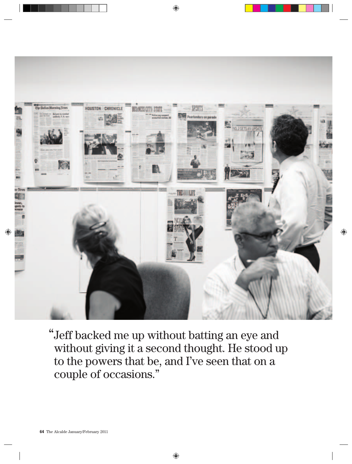

Jeff backed me up without batting an eye and "without giving it a second thought. He stood up to the powers that be, and I've seen that on a couple of occasions."